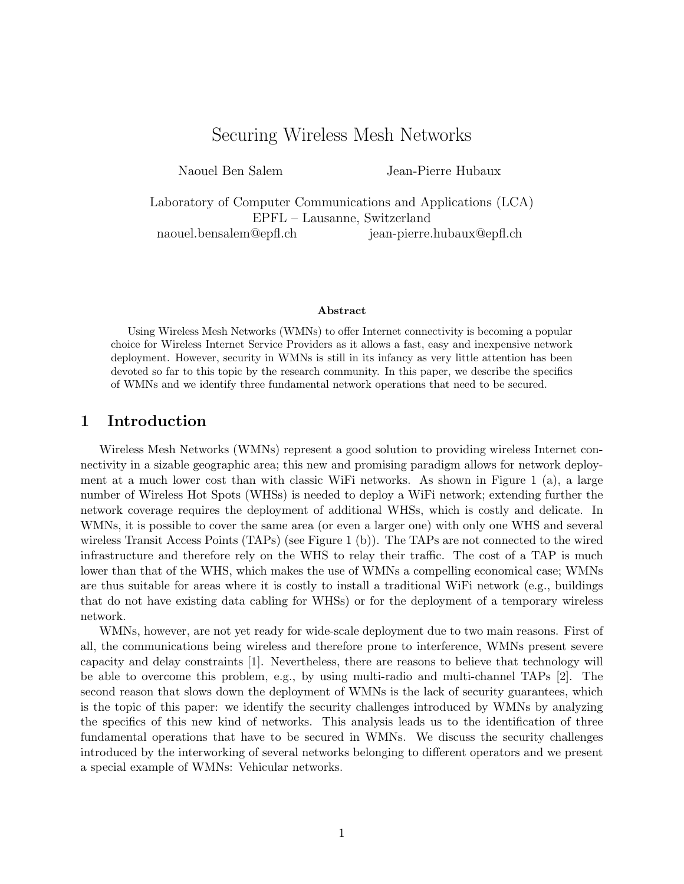# Securing Wireless Mesh Networks

Naouel Ben Salem Jean-Pierre Hubaux

Laboratory of Computer Communications and Applications (LCA) EPFL – Lausanne, Switzerland naouel.bensalem@epfl.ch jean-pierre.hubaux@epfl.ch

#### Abstract

Using Wireless Mesh Networks (WMNs) to offer Internet connectivity is becoming a popular choice for Wireless Internet Service Providers as it allows a fast, easy and inexpensive network deployment. However, security in WMNs is still in its infancy as very little attention has been devoted so far to this topic by the research community. In this paper, we describe the specifics of WMNs and we identify three fundamental network operations that need to be secured.

### 1 Introduction

Wireless Mesh Networks (WMNs) represent a good solution to providing wireless Internet connectivity in a sizable geographic area; this new and promising paradigm allows for network deployment at a much lower cost than with classic WiFi networks. As shown in Figure 1 (a), a large number of Wireless Hot Spots (WHSs) is needed to deploy a WiFi network; extending further the network coverage requires the deployment of additional WHSs, which is costly and delicate. In WMNs, it is possible to cover the same area (or even a larger one) with only one WHS and several wireless Transit Access Points (TAPs) (see Figure 1 (b)). The TAPs are not connected to the wired infrastructure and therefore rely on the WHS to relay their traffic. The cost of a TAP is much lower than that of the WHS, which makes the use of WMNs a compelling economical case; WMNs are thus suitable for areas where it is costly to install a traditional WiFi network (e.g., buildings that do not have existing data cabling for WHSs) or for the deployment of a temporary wireless network.

WMNs, however, are not yet ready for wide-scale deployment due to two main reasons. First of all, the communications being wireless and therefore prone to interference, WMNs present severe capacity and delay constraints [1]. Nevertheless, there are reasons to believe that technology will be able to overcome this problem, e.g., by using multi-radio and multi-channel TAPs [2]. The second reason that slows down the deployment of WMNs is the lack of security guarantees, which is the topic of this paper: we identify the security challenges introduced by WMNs by analyzing the specifics of this new kind of networks. This analysis leads us to the identification of three fundamental operations that have to be secured in WMNs. We discuss the security challenges introduced by the interworking of several networks belonging to different operators and we present a special example of WMNs: Vehicular networks.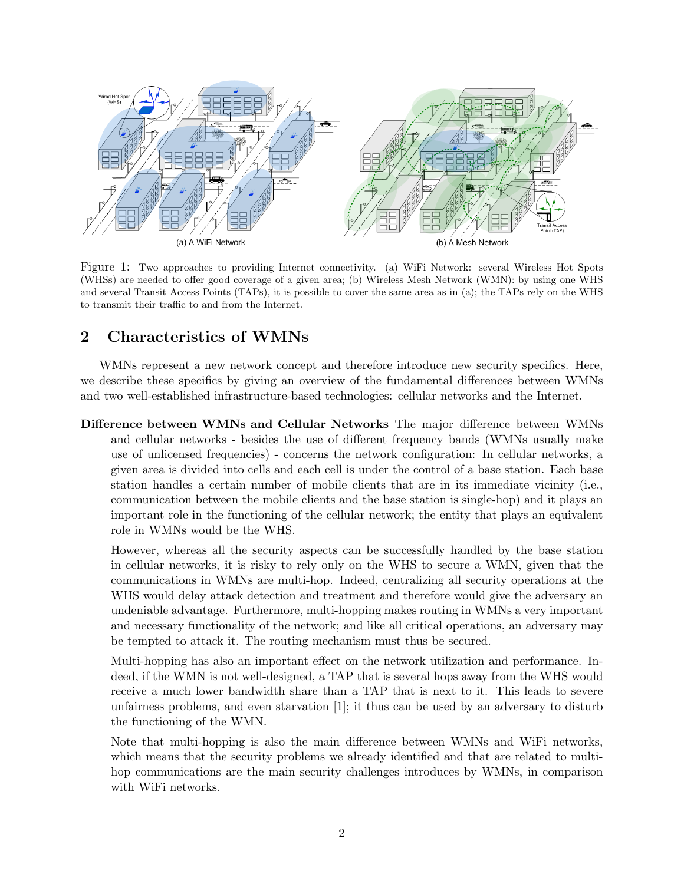

Figure 1: Two approaches to providing Internet connectivity. (a) WiFi Network: several Wireless Hot Spots (WHSs) are needed to offer good coverage of a given area; (b) Wireless Mesh Network (WMN): by using one WHS and several Transit Access Points (TAPs), it is possible to cover the same area as in (a); the TAPs rely on the WHS to transmit their traffic to and from the Internet.

## 2 Characteristics of WMNs

WMNs represent a new network concept and therefore introduce new security specifics. Here, we describe these specifics by giving an overview of the fundamental differences between WMNs and two well-established infrastructure-based technologies: cellular networks and the Internet.

Difference between WMNs and Cellular Networks The major difference between WMNs and cellular networks - besides the use of different frequency bands (WMNs usually make use of unlicensed frequencies) - concerns the network configuration: In cellular networks, a given area is divided into cells and each cell is under the control of a base station. Each base station handles a certain number of mobile clients that are in its immediate vicinity (i.e., communication between the mobile clients and the base station is single-hop) and it plays an important role in the functioning of the cellular network; the entity that plays an equivalent role in WMNs would be the WHS.

However, whereas all the security aspects can be successfully handled by the base station in cellular networks, it is risky to rely only on the WHS to secure a WMN, given that the communications in WMNs are multi-hop. Indeed, centralizing all security operations at the WHS would delay attack detection and treatment and therefore would give the adversary an undeniable advantage. Furthermore, multi-hopping makes routing in WMNs a very important and necessary functionality of the network; and like all critical operations, an adversary may be tempted to attack it. The routing mechanism must thus be secured.

Multi-hopping has also an important effect on the network utilization and performance. Indeed, if the WMN is not well-designed, a TAP that is several hops away from the WHS would receive a much lower bandwidth share than a TAP that is next to it. This leads to severe unfairness problems, and even starvation [1]; it thus can be used by an adversary to disturb the functioning of the WMN.

Note that multi-hopping is also the main difference between WMNs and WiFi networks, which means that the security problems we already identified and that are related to multihop communications are the main security challenges introduces by WMNs, in comparison with WiFi networks.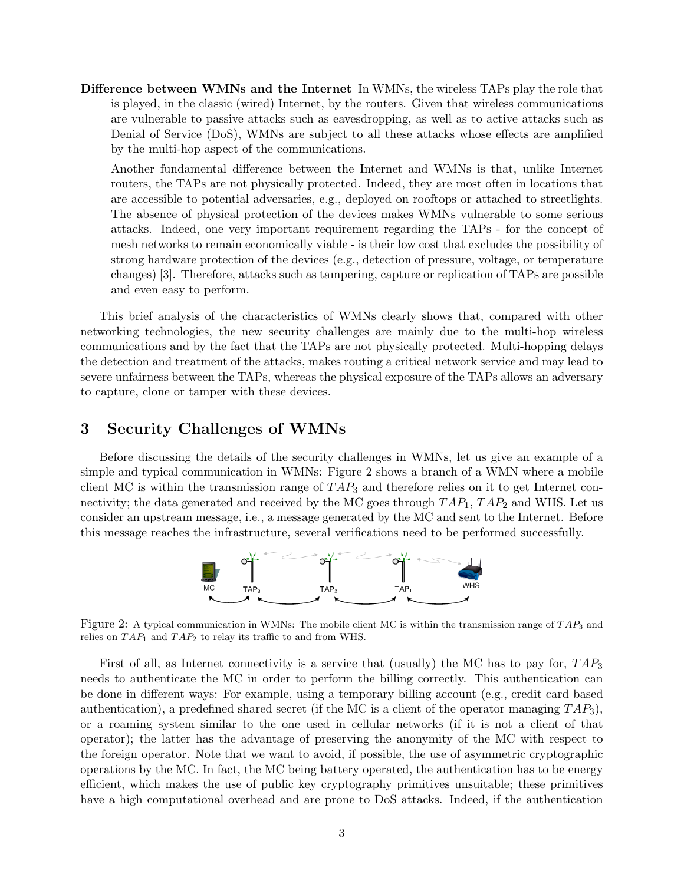Difference between WMNs and the Internet In WMNs, the wireless TAPs play the role that is played, in the classic (wired) Internet, by the routers. Given that wireless communications are vulnerable to passive attacks such as eavesdropping, as well as to active attacks such as Denial of Service (DoS), WMNs are subject to all these attacks whose effects are amplified by the multi-hop aspect of the communications.

Another fundamental difference between the Internet and WMNs is that, unlike Internet routers, the TAPs are not physically protected. Indeed, they are most often in locations that are accessible to potential adversaries, e.g., deployed on rooftops or attached to streetlights. The absence of physical protection of the devices makes WMNs vulnerable to some serious attacks. Indeed, one very important requirement regarding the TAPs - for the concept of mesh networks to remain economically viable - is their low cost that excludes the possibility of strong hardware protection of the devices (e.g., detection of pressure, voltage, or temperature changes) [3]. Therefore, attacks such as tampering, capture or replication of TAPs are possible and even easy to perform.

This brief analysis of the characteristics of WMNs clearly shows that, compared with other networking technologies, the new security challenges are mainly due to the multi-hop wireless communications and by the fact that the TAPs are not physically protected. Multi-hopping delays the detection and treatment of the attacks, makes routing a critical network service and may lead to severe unfairness between the TAPs, whereas the physical exposure of the TAPs allows an adversary to capture, clone or tamper with these devices.

## 3 Security Challenges of WMNs

Before discussing the details of the security challenges in WMNs, let us give an example of a simple and typical communication in WMNs: Figure 2 shows a branch of a WMN where a mobile client MC is within the transmission range of  $TAP_3$  and therefore relies on it to get Internet connectivity; the data generated and received by the MC goes through  $TAP_1$ ,  $TAP_2$  and WHS. Let us consider an upstream message, i.e., a message generated by the MC and sent to the Internet. Before this message reaches the infrastructure, several verifications need to be performed successfully.



Figure 2: A typical communication in WMNs: The mobile client MC is within the transmission range of  $TAP_3$  and relies on  $TAP_1$  and  $TAP_2$  to relay its traffic to and from WHS.

First of all, as Internet connectivity is a service that (usually) the MC has to pay for,  $TAP_3$ needs to authenticate the MC in order to perform the billing correctly. This authentication can be done in different ways: For example, using a temporary billing account (e.g., credit card based authentication), a predefined shared secret (if the MC is a client of the operator managing  $TAP_3$ ), or a roaming system similar to the one used in cellular networks (if it is not a client of that operator); the latter has the advantage of preserving the anonymity of the MC with respect to the foreign operator. Note that we want to avoid, if possible, the use of asymmetric cryptographic operations by the MC. In fact, the MC being battery operated, the authentication has to be energy efficient, which makes the use of public key cryptography primitives unsuitable; these primitives have a high computational overhead and are prone to DoS attacks. Indeed, if the authentication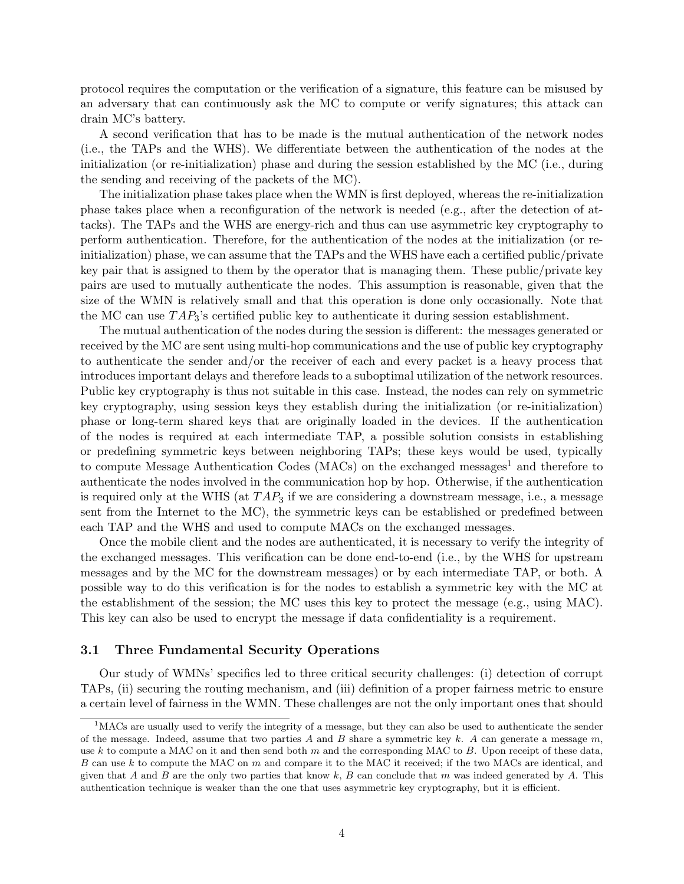protocol requires the computation or the verification of a signature, this feature can be misused by an adversary that can continuously ask the MC to compute or verify signatures; this attack can drain MC's battery.

A second verification that has to be made is the mutual authentication of the network nodes (i.e., the TAPs and the WHS). We differentiate between the authentication of the nodes at the initialization (or re-initialization) phase and during the session established by the MC (i.e., during the sending and receiving of the packets of the MC).

The initialization phase takes place when the WMN is first deployed, whereas the re-initialization phase takes place when a reconfiguration of the network is needed (e.g., after the detection of attacks). The TAPs and the WHS are energy-rich and thus can use asymmetric key cryptography to perform authentication. Therefore, for the authentication of the nodes at the initialization (or reinitialization) phase, we can assume that the TAPs and the WHS have each a certified public/private key pair that is assigned to them by the operator that is managing them. These public/private key pairs are used to mutually authenticate the nodes. This assumption is reasonable, given that the size of the WMN is relatively small and that this operation is done only occasionally. Note that the MC can use  $TAP_3$ 's certified public key to authenticate it during session establishment.

The mutual authentication of the nodes during the session is different: the messages generated or received by the MC are sent using multi-hop communications and the use of public key cryptography to authenticate the sender and/or the receiver of each and every packet is a heavy process that introduces important delays and therefore leads to a suboptimal utilization of the network resources. Public key cryptography is thus not suitable in this case. Instead, the nodes can rely on symmetric key cryptography, using session keys they establish during the initialization (or re-initialization) phase or long-term shared keys that are originally loaded in the devices. If the authentication of the nodes is required at each intermediate TAP, a possible solution consists in establishing or predefining symmetric keys between neighboring TAPs; these keys would be used, typically to compute Message Authentication Codes  $(MACs)$  on the exchanged messages<sup>1</sup> and therefore to authenticate the nodes involved in the communication hop by hop. Otherwise, if the authentication is required only at the WHS (at  $TAP_3$  if we are considering a downstream message, i.e., a message sent from the Internet to the MC), the symmetric keys can be established or predefined between each TAP and the WHS and used to compute MACs on the exchanged messages.

Once the mobile client and the nodes are authenticated, it is necessary to verify the integrity of the exchanged messages. This verification can be done end-to-end (i.e., by the WHS for upstream messages and by the MC for the downstream messages) or by each intermediate TAP, or both. A possible way to do this verification is for the nodes to establish a symmetric key with the MC at the establishment of the session; the MC uses this key to protect the message (e.g., using MAC). This key can also be used to encrypt the message if data confidentiality is a requirement.

### 3.1 Three Fundamental Security Operations

Our study of WMNs' specifics led to three critical security challenges: (i) detection of corrupt TAPs, (ii) securing the routing mechanism, and (iii) definition of a proper fairness metric to ensure a certain level of fairness in the WMN. These challenges are not the only important ones that should

 $1<sup>1</sup>$ MACs are usually used to verify the integrity of a message, but they can also be used to authenticate the sender of the message. Indeed, assume that two parties A and B share a symmetric key k. A can generate a message m, use k to compute a MAC on it and then send both  $m$  and the corresponding MAC to  $B$ . Upon receipt of these data, B can use k to compute the MAC on m and compare it to the MAC it received; if the two MACs are identical, and given that A and B are the only two parties that know  $k$ , B can conclude that m was indeed generated by A. This authentication technique is weaker than the one that uses asymmetric key cryptography, but it is efficient.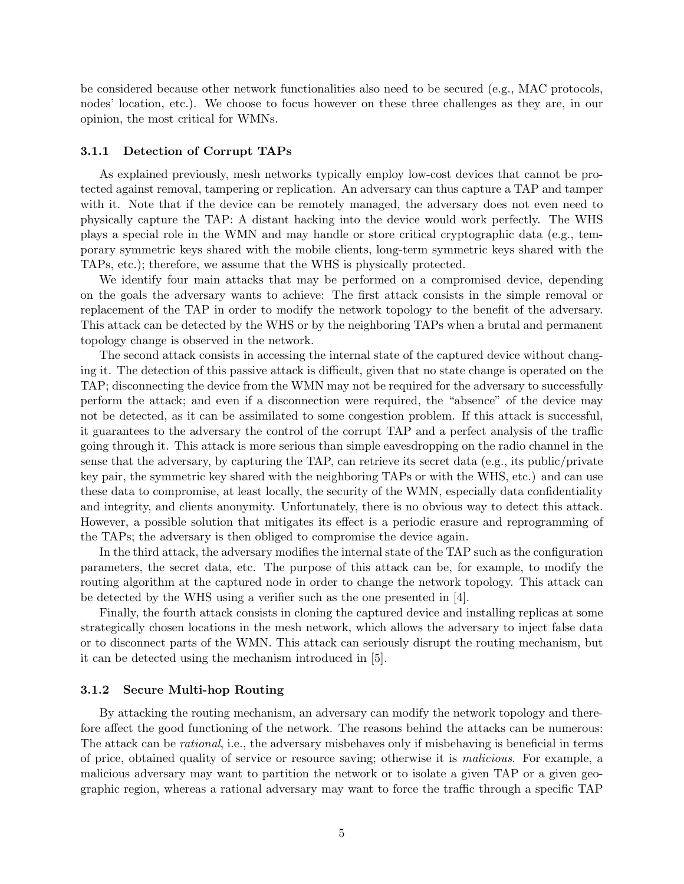be considered because other network functionalities also need to be secured (e.g., MAC protocols, nodes' location, etc.). We choose to focus however on these three challenges as they are, in our opinion, the most critical for WMNs.

#### 3.1.1 Detection of Corrupt TAPs

As explained previously, mesh networks typically employ low-cost devices that cannot be protected against removal, tampering or replication. An adversary can thus capture a TAP and tamper with it. Note that if the device can be remotely managed, the adversary does not even need to physically capture the TAP: A distant hacking into the device would work perfectly. The WHS plays a special role in the WMN and may handle or store critical cryptographic data (e.g., temporary symmetric keys shared with the mobile clients, long-term symmetric keys shared with the TAPs, etc.); therefore, we assume that the WHS is physically protected.

We identify four main attacks that may be performed on a compromised device, depending on the goals the adversary wants to achieve: The first attack consists in the simple removal or replacement of the TAP in order to modify the network topology to the benefit of the adversary. This attack can be detected by the WHS or by the neighboring TAPs when a brutal and permanent topology change is observed in the network.

The second attack consists in accessing the internal state of the captured device without changing it. The detection of this passive attack is difficult, given that no state change is operated on the TAP; disconnecting the device from the WMN may not be required for the adversary to successfully perform the attack; and even if a disconnection were required, the "absence" of the device may not be detected, as it can be assimilated to some congestion problem. If this attack is successful, it guarantees to the adversary the control of the corrupt TAP and a perfect analysis of the traffic going through it. This attack is more serious than simple eavesdropping on the radio channel in the sense that the adversary, by capturing the TAP, can retrieve its secret data (e.g., its public/private key pair, the symmetric key shared with the neighboring TAPs or with the WHS, etc.) and can use these data to compromise, at least locally, the security of the WMN, especially data confidentiality and integrity, and clients anonymity. Unfortunately, there is no obvious way to detect this attack. However, a possible solution that mitigates its effect is a periodic erasure and reprogramming of the TAPs; the adversary is then obliged to compromise the device again.

In the third attack, the adversary modifies the internal state of the TAP such as the configuration parameters, the secret data, etc. The purpose of this attack can be, for example, to modify the routing algorithm at the captured node in order to change the network topology. This attack can be detected by the WHS using a verifier such as the one presented in [4].

Finally, the fourth attack consists in cloning the captured device and installing replicas at some strategically chosen locations in the mesh network, which allows the adversary to inject false data or to disconnect parts of the WMN. This attack can seriously disrupt the routing mechanism, but it can be detected using the mechanism introduced in [5].

#### 3.1.2 Secure Multi-hop Routing

By attacking the routing mechanism, an adversary can modify the network topology and therefore affect the good functioning of the network. The reasons behind the attacks can be numerous: The attack can be rational, i.e., the adversary misbehaves only if misbehaving is beneficial in terms of price, obtained quality of service or resource saving; otherwise it is malicious. For example, a malicious adversary may want to partition the network or to isolate a given TAP or a given geographic region, whereas a rational adversary may want to force the traffic through a specific TAP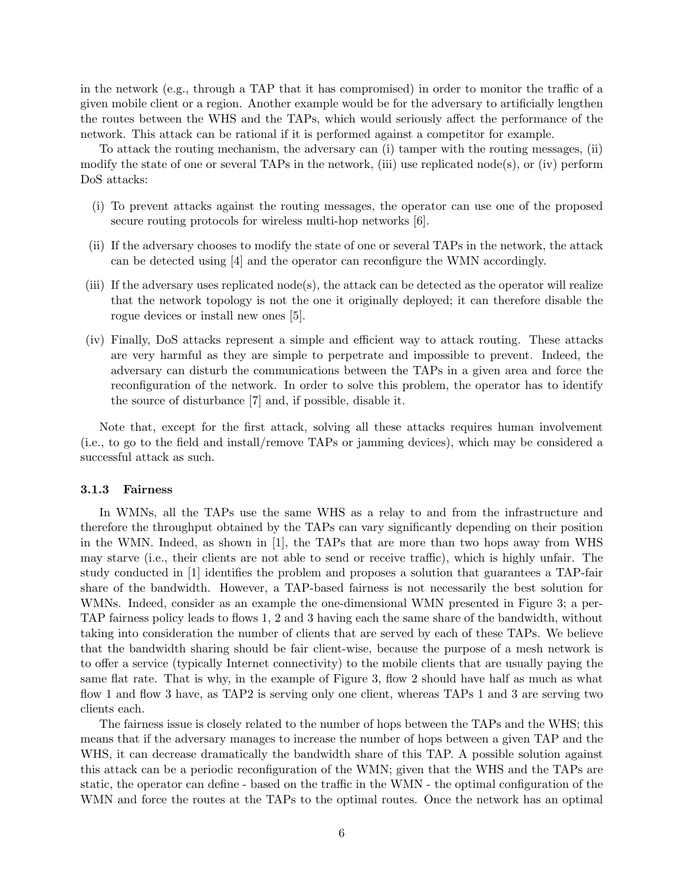in the network (e.g., through a TAP that it has compromised) in order to monitor the traffic of a given mobile client or a region. Another example would be for the adversary to artificially lengthen the routes between the WHS and the TAPs, which would seriously affect the performance of the network. This attack can be rational if it is performed against a competitor for example.

To attack the routing mechanism, the adversary can (i) tamper with the routing messages, (ii) modify the state of one or several TAPs in the network, (iii) use replicated node(s), or (iv) perform DoS attacks:

- (i) To prevent attacks against the routing messages, the operator can use one of the proposed secure routing protocols for wireless multi-hop networks [6].
- (ii) If the adversary chooses to modify the state of one or several TAPs in the network, the attack can be detected using [4] and the operator can reconfigure the WMN accordingly.
- (iii) If the adversary uses replicated node(s), the attack can be detected as the operator will realize that the network topology is not the one it originally deployed; it can therefore disable the rogue devices or install new ones [5].
- (iv) Finally, DoS attacks represent a simple and efficient way to attack routing. These attacks are very harmful as they are simple to perpetrate and impossible to prevent. Indeed, the adversary can disturb the communications between the TAPs in a given area and force the reconfiguration of the network. In order to solve this problem, the operator has to identify the source of disturbance [7] and, if possible, disable it.

Note that, except for the first attack, solving all these attacks requires human involvement (i.e., to go to the field and install/remove TAPs or jamming devices), which may be considered a successful attack as such.

#### 3.1.3 Fairness

In WMNs, all the TAPs use the same WHS as a relay to and from the infrastructure and therefore the throughput obtained by the TAPs can vary significantly depending on their position in the WMN. Indeed, as shown in [1], the TAPs that are more than two hops away from WHS may starve (i.e., their clients are not able to send or receive traffic), which is highly unfair. The study conducted in [1] identifies the problem and proposes a solution that guarantees a TAP-fair share of the bandwidth. However, a TAP-based fairness is not necessarily the best solution for WMNs. Indeed, consider as an example the one-dimensional WMN presented in Figure 3; a per-TAP fairness policy leads to flows 1, 2 and 3 having each the same share of the bandwidth, without taking into consideration the number of clients that are served by each of these TAPs. We believe that the bandwidth sharing should be fair client-wise, because the purpose of a mesh network is to offer a service (typically Internet connectivity) to the mobile clients that are usually paying the same flat rate. That is why, in the example of Figure 3, flow 2 should have half as much as what flow 1 and flow 3 have, as TAP2 is serving only one client, whereas TAPs 1 and 3 are serving two clients each.

The fairness issue is closely related to the number of hops between the TAPs and the WHS; this means that if the adversary manages to increase the number of hops between a given TAP and the WHS, it can decrease dramatically the bandwidth share of this TAP. A possible solution against this attack can be a periodic reconfiguration of the WMN; given that the WHS and the TAPs are static, the operator can define - based on the traffic in the WMN - the optimal configuration of the WMN and force the routes at the TAPs to the optimal routes. Once the network has an optimal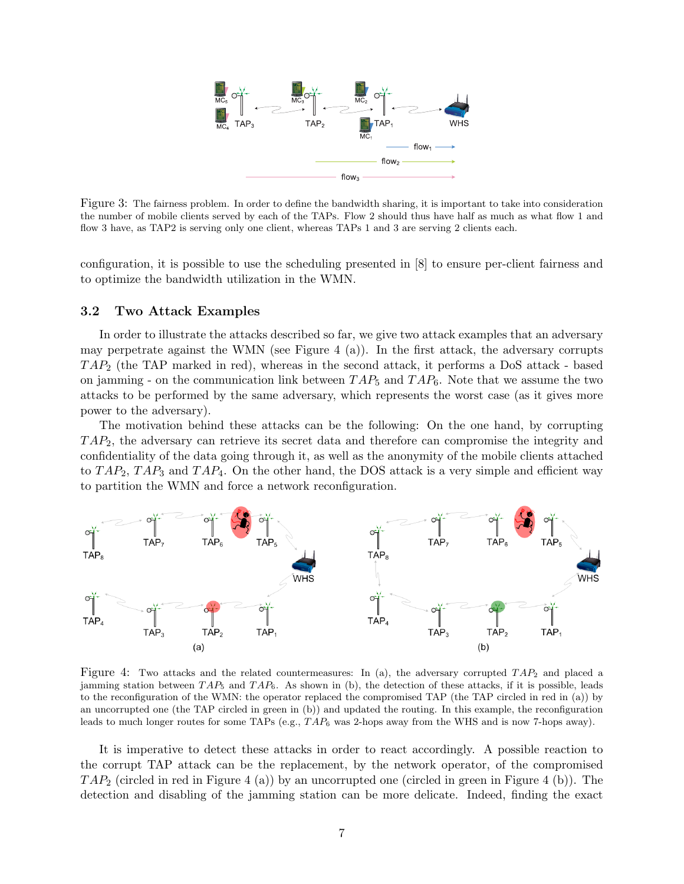

Figure 3: The fairness problem. In order to define the bandwidth sharing, it is important to take into consideration the number of mobile clients served by each of the TAPs. Flow 2 should thus have half as much as what flow 1 and flow 3 have, as TAP2 is serving only one client, whereas TAPs 1 and 3 are serving 2 clients each.

configuration, it is possible to use the scheduling presented in [8] to ensure per-client fairness and to optimize the bandwidth utilization in the WMN.

#### 3.2 Two Attack Examples

In order to illustrate the attacks described so far, we give two attack examples that an adversary may perpetrate against the WMN (see Figure 4 (a)). In the first attack, the adversary corrupts  $TAP_2$  (the TAP marked in red), whereas in the second attack, it performs a DoS attack - based on jamming - on the communication link between  $TAP_5$  and  $TAP_6$ . Note that we assume the two attacks to be performed by the same adversary, which represents the worst case (as it gives more power to the adversary).

The motivation behind these attacks can be the following: On the one hand, by corrupting  $TAP_2$ , the adversary can retrieve its secret data and therefore can compromise the integrity and confidentiality of the data going through it, as well as the anonymity of the mobile clients attached to  $TAP_2$ ,  $TAP_3$  and  $TAP_4$ . On the other hand, the DOS attack is a very simple and efficient way to partition the WMN and force a network reconfiguration.



Figure 4: Two attacks and the related countermeasures: In (a), the adversary corrupted  $TAP_2$  and placed a jamming station between  $TAP_5$  and  $TAP_6$ . As shown in (b), the detection of these attacks, if it is possible, leads to the reconfiguration of the WMN: the operator replaced the compromised TAP (the TAP circled in red in (a)) by an uncorrupted one (the TAP circled in green in (b)) and updated the routing. In this example, the reconfiguration leads to much longer routes for some TAPs (e.g.,  $TAP_6$  was 2-hops away from the WHS and is now 7-hops away).

It is imperative to detect these attacks in order to react accordingly. A possible reaction to the corrupt TAP attack can be the replacement, by the network operator, of the compromised  $TAP_2$  (circled in red in Figure 4 (a)) by an uncorrupted one (circled in green in Figure 4 (b)). The detection and disabling of the jamming station can be more delicate. Indeed, finding the exact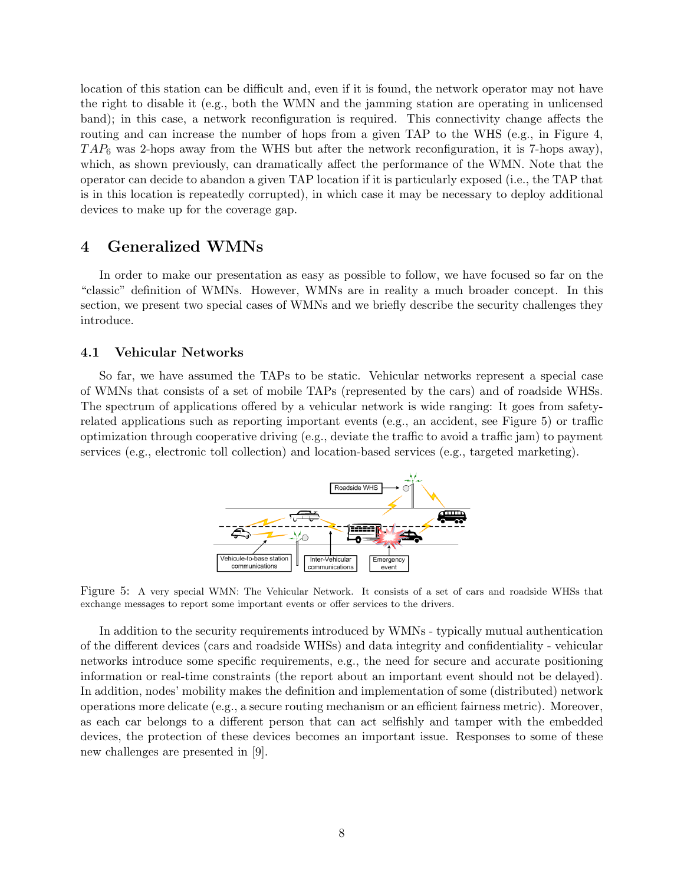location of this station can be difficult and, even if it is found, the network operator may not have the right to disable it (e.g., both the WMN and the jamming station are operating in unlicensed band); in this case, a network reconfiguration is required. This connectivity change affects the routing and can increase the number of hops from a given TAP to the WHS (e.g., in Figure 4,  $TAP_6$  was 2-hops away from the WHS but after the network reconfiguration, it is 7-hops away), which, as shown previously, can dramatically affect the performance of the WMN. Note that the operator can decide to abandon a given TAP location if it is particularly exposed (i.e., the TAP that is in this location is repeatedly corrupted), in which case it may be necessary to deploy additional devices to make up for the coverage gap.

## 4 Generalized WMNs

In order to make our presentation as easy as possible to follow, we have focused so far on the "classic" definition of WMNs. However, WMNs are in reality a much broader concept. In this section, we present two special cases of WMNs and we briefly describe the security challenges they introduce.

### 4.1 Vehicular Networks

So far, we have assumed the TAPs to be static. Vehicular networks represent a special case of WMNs that consists of a set of mobile TAPs (represented by the cars) and of roadside WHSs. The spectrum of applications offered by a vehicular network is wide ranging: It goes from safetyrelated applications such as reporting important events (e.g., an accident, see Figure 5) or traffic optimization through cooperative driving (e.g., deviate the traffic to avoid a traffic jam) to payment services (e.g., electronic toll collection) and location-based services (e.g., targeted marketing).



Figure 5: A very special WMN: The Vehicular Network. It consists of a set of cars and roadside WHSs that exchange messages to report some important events or offer services to the drivers.

In addition to the security requirements introduced by WMNs - typically mutual authentication of the different devices (cars and roadside WHSs) and data integrity and confidentiality - vehicular networks introduce some specific requirements, e.g., the need for secure and accurate positioning information or real-time constraints (the report about an important event should not be delayed). In addition, nodes' mobility makes the definition and implementation of some (distributed) network operations more delicate (e.g., a secure routing mechanism or an efficient fairness metric). Moreover, as each car belongs to a different person that can act selfishly and tamper with the embedded devices, the protection of these devices becomes an important issue. Responses to some of these new challenges are presented in [9].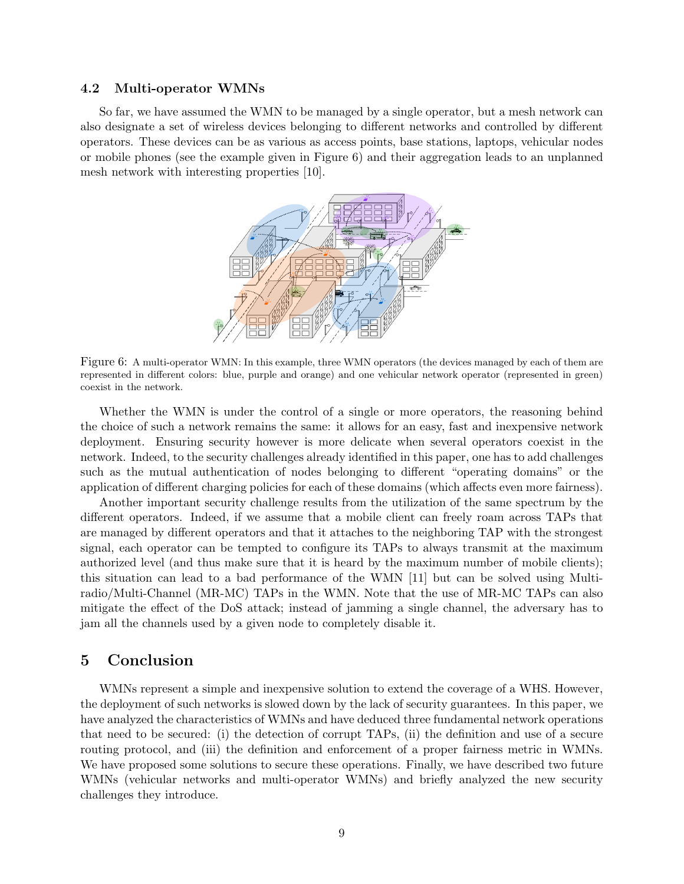#### 4.2 Multi-operator WMNs

So far, we have assumed the WMN to be managed by a single operator, but a mesh network can also designate a set of wireless devices belonging to different networks and controlled by different operators. These devices can be as various as access points, base stations, laptops, vehicular nodes or mobile phones (see the example given in Figure 6) and their aggregation leads to an unplanned mesh network with interesting properties [10].



Figure 6: A multi-operator WMN: In this example, three WMN operators (the devices managed by each of them are represented in different colors: blue, purple and orange) and one vehicular network operator (represented in green) coexist in the network.

Whether the WMN is under the control of a single or more operators, the reasoning behind the choice of such a network remains the same: it allows for an easy, fast and inexpensive network deployment. Ensuring security however is more delicate when several operators coexist in the network. Indeed, to the security challenges already identified in this paper, one has to add challenges such as the mutual authentication of nodes belonging to different "operating domains" or the application of different charging policies for each of these domains (which affects even more fairness).

Another important security challenge results from the utilization of the same spectrum by the different operators. Indeed, if we assume that a mobile client can freely roam across TAPs that are managed by different operators and that it attaches to the neighboring TAP with the strongest signal, each operator can be tempted to configure its TAPs to always transmit at the maximum authorized level (and thus make sure that it is heard by the maximum number of mobile clients); this situation can lead to a bad performance of the WMN [11] but can be solved using Multiradio/Multi-Channel (MR-MC) TAPs in the WMN. Note that the use of MR-MC TAPs can also mitigate the effect of the DoS attack; instead of jamming a single channel, the adversary has to jam all the channels used by a given node to completely disable it.

## 5 Conclusion

WMNs represent a simple and inexpensive solution to extend the coverage of a WHS. However, the deployment of such networks is slowed down by the lack of security guarantees. In this paper, we have analyzed the characteristics of WMNs and have deduced three fundamental network operations that need to be secured: (i) the detection of corrupt TAPs, (ii) the definition and use of a secure routing protocol, and (iii) the definition and enforcement of a proper fairness metric in WMNs. We have proposed some solutions to secure these operations. Finally, we have described two future WMNs (vehicular networks and multi-operator WMNs) and briefly analyzed the new security challenges they introduce.